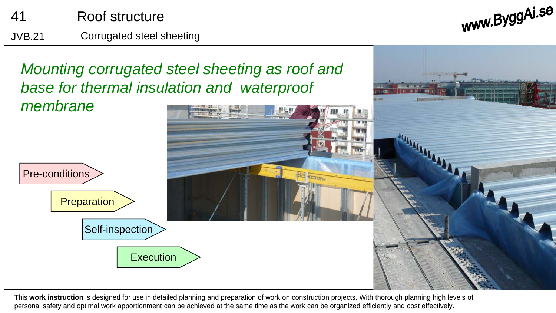

www.ByggAi.se

*Mounting corrugated steel sheeting as roof and base for thermal insulation and waterproof* 



This **work instruction** is designed for use in detailed planning and preparation of work on construction projects. With thorough planning high levels of personal safety and optimal work apportionment can be achieved at the same time as the work can be organized efficiently and cost effectively.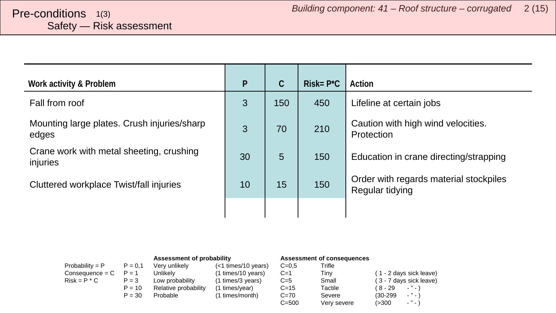# <span id="page-1-0"></span>Safety — Risk assessment

| Work activity & Problem                              | P  | $\mathcal{C}$ | $Risk = P^*C$ | Action                                                    |
|------------------------------------------------------|----|---------------|---------------|-----------------------------------------------------------|
| Fall from roof                                       | 3  | 150           | 450           | Lifeline at certain jobs                                  |
| Mounting large plates. Crush injuries/sharp<br>edges | 3  | 70            | 210           | Caution with high wind velocities.<br>Protection          |
| Crane work with metal sheeting, crushing<br>injuries | 30 | 5             | 150           | Education in crane directing/strapping                    |
| Cluttered workplace Twist/fall injuries              | 10 | 15            | 150           | Order with regards material stockpiles<br>Regular tidying |
|                                                      |    |               |               |                                                           |

|                   |           | Assessment of probability |                       | Assessment of consequences |             |                                        |
|-------------------|-----------|---------------------------|-----------------------|----------------------------|-------------|----------------------------------------|
| $Probability = P$ | $P = 0.1$ | Very unlikely             | $(<1$ times/10 years) | $C = 0.5$                  | Trifle      |                                        |
| Consequence = C   | $P = 1$   | Unlikely                  | (1 times/10 years)    | $C=1$                      | Tiny        | (1 - 2 days sick leave)                |
| $Risk = P * C$    | $P = 3$   | Low probability           | (1 times/3 years)     | $C=5$                      | Small       | (3 - 7 days sick leave)                |
|                   | $P = 10$  | Relative probability      | (1 times/year)        | $C = 15$                   | Tactile     | ( 8 - 29<br>$ "$ $ \lambda$            |
|                   | $P = 30$  | Probable                  | (1 times/month)       | $C = 70$                   | Severe      | $\cdots$<br>$(30-299)$                 |
|                   |           |                           |                       | $C = 500$                  | Very severe | $\sim$ $^{10}$ $\sim$ $^{11}$<br>(>300 |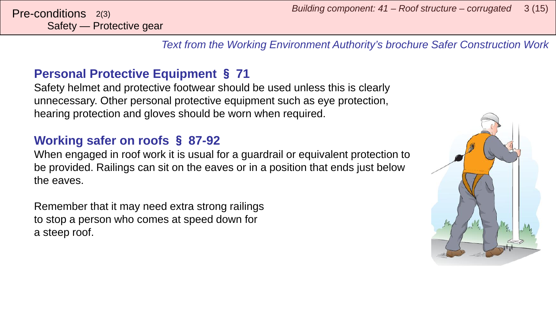*Text from the Working Environment Authority's brochure Safer Construction Work*

### **Personal Protective Equipment** § **71**

Safety helmet and protective footwear should be used unless this is clearly unnecessary. Other personal protective equipment such as eye protection, hearing protection and gloves should be worn when required.

#### **Working safer on roofs** § **87-92**

When engaged in roof work it is usual for a guardrail or equivalent protection to be provided. Railings can sit on the eaves or in a position that ends just below the eaves.

Remember that it may need extra strong railings to stop a person who comes at speed down for a steep roof.

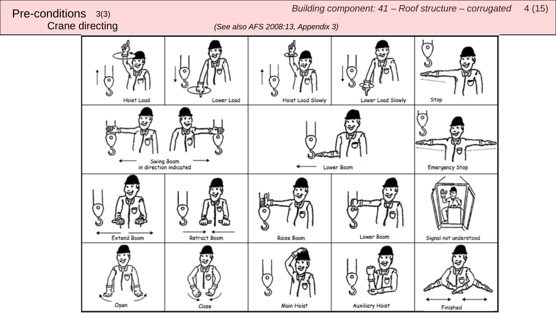Crane directing *(See also AFS 2008:13, Appendix 3)*

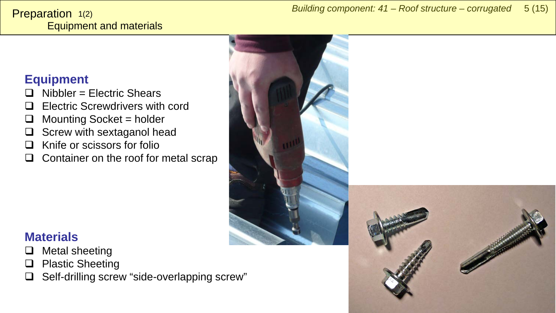#### <span id="page-4-0"></span>Equipment and materials Preparation 1(2)

#### **Equipment**

- Nibbler = Electric Shears
- Electric Screwdrivers with cord
- $\Box$  Mounting Socket = holder
- $\Box$  Screw with sextaganol head
- $\Box$  Knife or scissors for folio
- $\Box$  Container on the roof for metal scrap





- $\Box$  Metal sheeting
- $\Box$  Plastic Sheeting
- $\Box$  Self-drilling screw "side-overlapping screw"

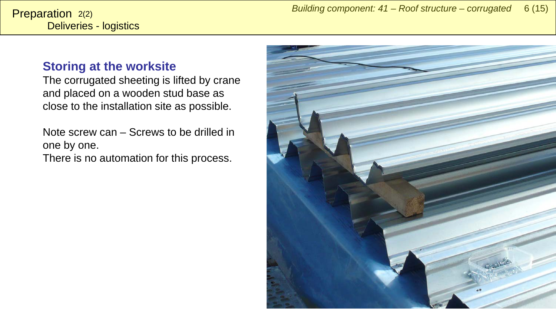#### **Storing at the worksite**

The corrugated sheeting is lifted by crane and placed on a wooden stud base as close to the installation site as possible.

Note screw can – Screws to be drilled in one by one. There is no automation for this process.

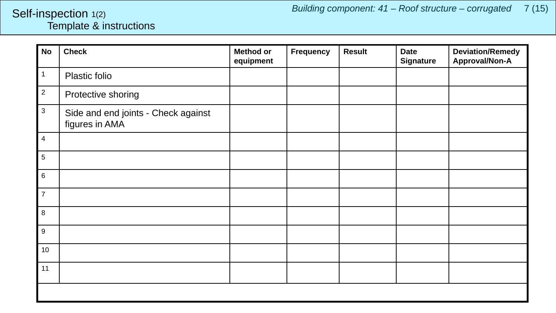#### <span id="page-6-0"></span>Template & instructions Self-inspection 1(2)

| <b>No</b>        | <b>Check</b>                                          | <b>Method or</b><br>equipment | Frequency | <b>Result</b> | <b>Date</b><br><b>Signature</b> | <b>Deviation/Remedy</b><br>Approval/Non-A |  |  |
|------------------|-------------------------------------------------------|-------------------------------|-----------|---------------|---------------------------------|-------------------------------------------|--|--|
| $\mathbf{1}$     | Plastic folio                                         |                               |           |               |                                 |                                           |  |  |
| $\sqrt{2}$       | Protective shoring                                    |                               |           |               |                                 |                                           |  |  |
| $\mathbf{3}$     | Side and end joints - Check against<br>figures in AMA |                               |           |               |                                 |                                           |  |  |
| $\overline{4}$   |                                                       |                               |           |               |                                 |                                           |  |  |
| $\sqrt{5}$       |                                                       |                               |           |               |                                 |                                           |  |  |
| $\,6\,$          |                                                       |                               |           |               |                                 |                                           |  |  |
| $\overline{7}$   |                                                       |                               |           |               |                                 |                                           |  |  |
| $\,8\,$          |                                                       |                               |           |               |                                 |                                           |  |  |
| $\boldsymbol{9}$ |                                                       |                               |           |               |                                 |                                           |  |  |
| 10               |                                                       |                               |           |               |                                 |                                           |  |  |
| 11               |                                                       |                               |           |               |                                 |                                           |  |  |
|                  |                                                       |                               |           |               |                                 |                                           |  |  |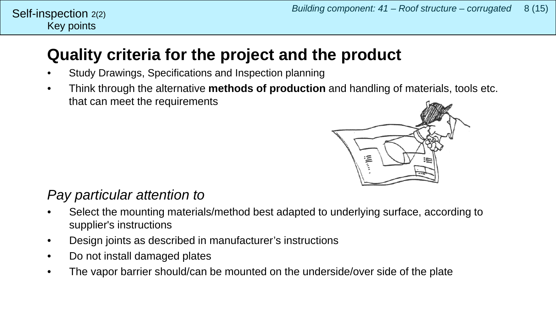## **Quality criteria for the project and the product**

- Study Drawings, Specifications and Inspection planning
- Think through the alternative **methods of production** and handling of materials, tools etc. that can meet the requirements



### *Pay particular attention to*

- Select the mounting materials/method best adapted to underlying surface, according to supplier's instructions
- Design joints as described in manufacturer's instructions
- Do not install damaged plates
- The vapor barrier should/can be mounted on the underside/over side of the plate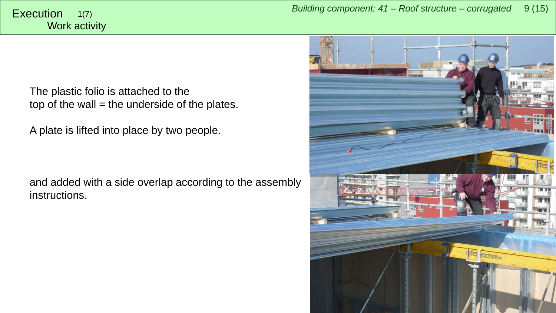<span id="page-8-0"></span>The plastic folio is attached to the top of the wall  $=$  the underside of the plates.

A plate is lifted into place by two people.

and added with a side overlap according to the assembly instructions.